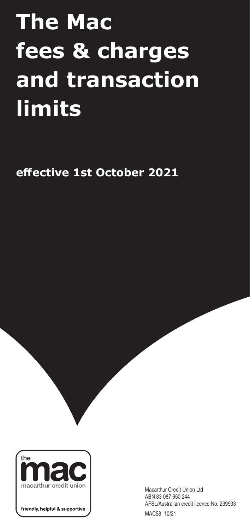## **The Mac** fees & charges and transaction <u>l</u>imits  $\sim$   $\sim$   $\sim$   $\sim$   $\sim$   $\sim$   $\sim$   $\sim$ Inci transaction \$200.00 payWave daily limit

effective 1st October 2021  $H_{\text{H}}$  and  $H_{\text{H}}$  with  $H_{\text{H}}$  and  $H_{\text{H}}$ 



friendly, helpful & supportive

 $\sim$ 

Macarthur Credit Union Ltd ABN 83 087 650 244 AFSL/Australian credit licence No. 239933 MAC58 10/21

fee

Cheque Deposit fee

 $\mathbf{P}_{\mathbf{p}}$  will not be charged to  $\mathbf{p}$  will not be charged to  $\mathbf{p}$ Members, Freedom Years account holders or members

with a current Home Loan with The Mac. The Mac. The Mac. The Mac. The Mac. The Mac. The Mac. The Mac. The Mac.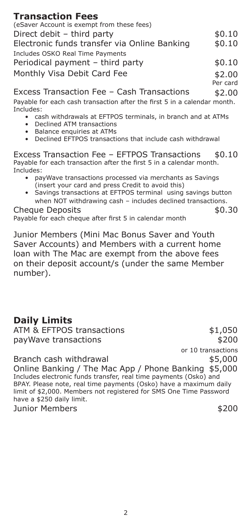## **Transaction Fees**

| (eSaver Account is exempt from these fees)   |        |
|----------------------------------------------|--------|
| Direct debit - third party                   | \$0.10 |
| Electronic funds transfer via Online Banking | \$0.10 |
| Includes OSKO Real Time Payments             |        |
| Periodical payment - third party             | \$0.10 |
| Monthly Visa Debit Card Fee                  | \$2.00 |

Per card Excess Transaction Fee – Cash Transactions  $$2.00$ 

Payable for each cash transaction after the first 5 in a calendar month.<br>Iacludes: Includes:

- riciducs:<br>• cash withdrawals at EFTPOS terminals, in branch and at ATMs
- Cash withdrawars at EPITS
	- became ATT dangerous terminals, in branch and at ATMs
	- Baldrice Chipanics at ATMS • Declined EFTPOS transactions that include cash withdrawal

Excess Transaction Fee – EFTPOS Transactions \$0.10 Payable for each transaction after the first 5 in a calendar month.<br>Includes: Includes:

- payable for the formulation after the first second the first second payable seconditions. • payWave transactions processed via merchants as Savings<br>Incort vous sard and press Credit to avoid this) (insert your card and press Credit to avoid this)
	- Savings transactions at EFTPOS terminal using savings button Survings during and press Credit to avoid the press Credit to avoid the service of the service of the service when NOT withdrawing cash – includes declined transactions.

 $\mathsf{u}\in \mathsf{Deposits}$  is a set of  $\mathsf{u}\in \mathsf{opis}$ . Payable for each cheque after first 5 in calendar month Cheque Deposits 50.30

Junior Members (Mini Mac Bonus Saver and Youth Saver Accounts) and Members with a current home loan with The Mac are exempt from the above fees on their deposit account/s (under the same Member on the same  $\alpha$  (under the same  $\alpha$  same  $\alpha$  same  $\alpha$  same  $\alpha$  same  $\alpha$  same  $\alpha$ 

## **Daily Limits**  $\blacksquare$

ATM & EFTPOS transactions  $$1,050$ payWaye transactions

or 10 transactions  $$200$ 

Branch cash withdrawal  $$5,000$ Online Banking / The Mac App / Phone Banking \$5,000 Includes electronic funds transfer, real time payments (Osko) and BPAY. Please note, real time payments (Osko) have a maximum daily Errin Fisase need, Fear anno payments (send) have a maximum aan, limit of \$2,000. Members not registered for SMS One Time Password have a  $$250$  daily limit. Online Banking / The Mac Ann / Phone Banking \$5  $B_{\text{p}}$ moldado diddi sindi ando transici, i dar time paymento (delib) and<br>RDAV Dlagca nota traglitima ngymanto (Ocko) haya a mavimum daily

Junior Members **\$200**